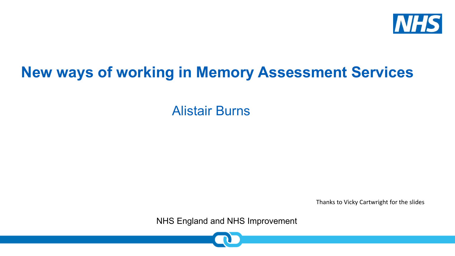

## **New ways of working in Memory Assessment Services**

Alistair Burns

Thanks to Vicky Cartwright for the slides

NHS England and NHS Improvement

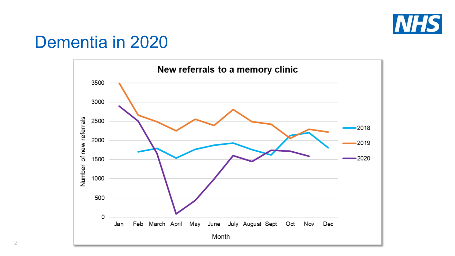

## Dementia in 2020



2 |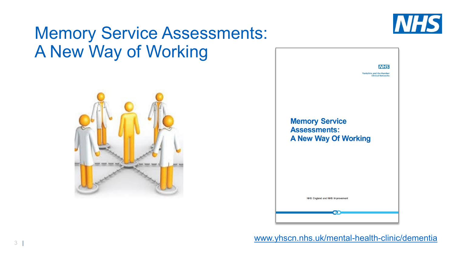

## Memory Service Assessments: A New Way of Working





[www.yhscn.nhs.uk/mental-health-clinic/dementia](http://www.yhscn.nhs.uk/mental-health-clinic/dementia)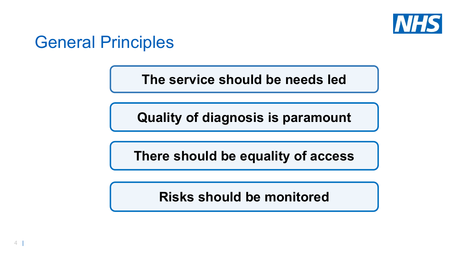

## General Principles

**The service should be needs led**

**Quality of diagnosis is paramount**

**There should be equality of access**

**Risks should be monitored**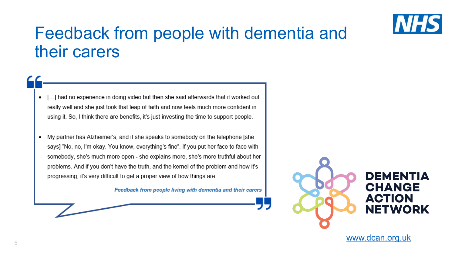

## Feedback from people with dementia and their carers

- [...] had no experience in doing video but then she said afterwards that it worked out ٠ really well and she just took that leap of faith and now feels much more confident in using it. So, I think there are benefits, it's just investing the time to support people.
- My partner has Alzheimer's, and if she speaks to somebody on the telephone [she ٠ says] "No, no, I'm okay. You know, everything's fine". If you put her face to face with somebody, she's much more open - she explains more, she's more truthful about her problems. And if you don't have the truth, and the kernel of the problem and how it's progressing, it's very difficult to get a proper view of how things are.

Feedback from people living with dementia and their carers



### DEMENTIA **CHANGE ACTION NETWORK**

[www.dcan.org.uk](http://www.dcan.org.uk/)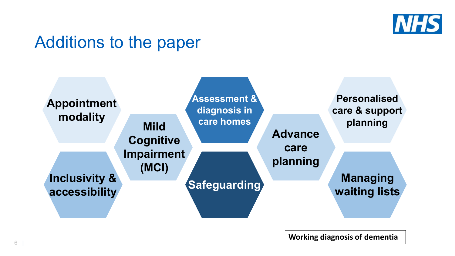

## Additions to the paper



**Working diagnosis of dementia**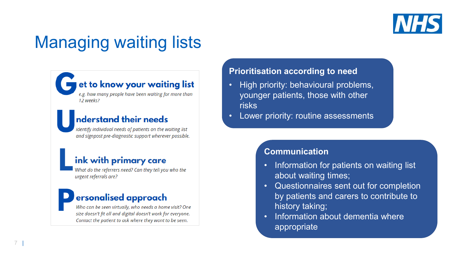

# Managing waiting lists

### et to know your waiting list

e.g. how many people have been waiting for more than 12 weeks?

### nderstand their needs

identify individual needs of patients on the waiting list and signpost pre-diagnostic support wherever possible.

### ink with primary care

What do the referrers need? Can they tell you who the urgent referrals are?

### ersonalised approach

Who can be seen virtually, who needs a home visit? One size doesn't fit all and digital doesn't work for everyone. Contact the patient to ask where they want to be seen.

#### **Prioritisation according to need**

- High priority: behavioural problems, younger patients, those with other risks
- Lower priority: routine assessments

### **Communication**

- Information for patients on waiting list about waiting times;
- Questionnaires sent out for completion by patients and carers to contribute to history taking;
- Information about dementia where appropriate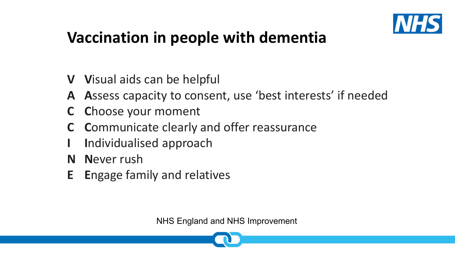

## **Vaccination in people with dementia**

- **V V**isual aids can be helpful
- **A A**ssess capacity to consent, use 'best interests' if needed
- **C C**hoose your moment
- **C C**ommunicate clearly and offer reassurance
- **I I**ndividualised approach
- **N N**ever rush
- **E E**ngage family and relatives

NHS England and NHS Improvement